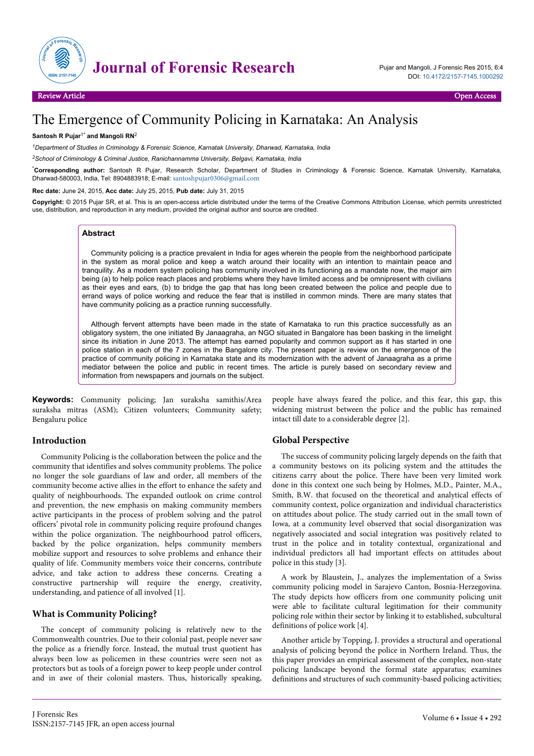

# The Emergence of Community Policing in Karnataka: An Analysis

#### **Santosh R Pujar**1\* **and Mangoli RN**<sup>2</sup>

*<sup>1</sup>Department of Studies in Criminology & Forensic Science, Karnatak University, Dharwad, Karnataka, India*

*<sup>2</sup>School of Criminology & Criminal Justice, Ranichannamma University, Belgavi, Karnataka, India*

\***Corresponding author:** Santosh R Pujar, Research Scholar, Department of Studies in Criminology & Forensic Science, Karnatak University, Karnataka, Dharwad-580003, India, Tel: 8904883918; E-mail: [santoshpujar0306@gmail.com](mailto:santoshpujar0306@gmail.com)

**Rec date:** June 24, 2015, **Acc date:** July 25, 2015, **Pub date:** July 31, 2015

**Copyright:** © 2015 Pujar SR, et al. This is an open-access article distributed under the terms of the Creative Commons Attribution License, which permits unrestricted use, distribution, and reproduction in any medium, provided the original author and source are credited.

#### **Abstract**

Community policing is a practice prevalent in India for ages wherein the people from the neighborhood participate in the system as moral police and keep a watch around their locality with an intention to maintain peace and tranquility. As a modern system policing has community involved in its functioning as a mandate now, the major aim being (a) to help police reach places and problems where they have limited access and be omnipresent with civilians as their eyes and ears, (b) to bridge the gap that has long been created between the police and people due to errand ways of police working and reduce the fear that is instilled in common minds. There are many states that have community policing as a practice running successfully.

Although fervent attempts have been made in the state of Karnataka to run this practice successfully as an obligatory system, the one initiated By Janaagraha, an NGO situated in Bangalore has been basking in the limelight since its initiation in June 2013. The attempt has earned popularity and common support as it has started in one police station in each of the 7 zones in the Bangalore city. The present paper is review on the emergence of the practice of community policing in Karnataka state and its modernization with the advent of Janaagraha as a prime mediator between the police and public in recent times. The article is purely based on secondary review and information from newspapers and journals on the subject.

**Keywords:** Community policing; Jan suraksha samithis/Area suraksha mitras (ASM); Citizen volunteers; Community safety; Bengaluru police

## **Introduction**

Community Policing is the collaboration between the police and the community that identifies and solves community problems. The police no longer the sole guardians of law and order, all members of the community become active allies in the effort to enhance the safety and quality of neighbourhoods. The expanded outlook on crime control and prevention, the new emphasis on making community members active participants in the process of problem solving and the patrol officers' pivotal role in community policing require profound changes within the police organization. The neighbourhood patrol officers, backed by the police organization, helps community members mobilize support and resources to solve problems and enhance their quality of life. Community members voice their concerns, contribute advice, and take action to address these concerns. Creating a constructive partnership will require the energy, creativity, understanding, and patience of all involved [1].

## **What is Community Policing?**

The concept of community policing is relatively new to the Commonwealth countries. Due to their colonial past, people never saw the police as a friendly force. Instead, the mutual trust quotient has always been low as policemen in these countries were seen not as protectors but as tools of a foreign power to keep people under control and in awe of their colonial masters. Thus, historically speaking,

people have always feared the police, and this fear, this gap, this widening mistrust between the police and the public has remained intact till date to a considerable degree [2].

## **Global Perspective**

The success of community policing largely depends on the faith that a community bestows on its policing system and the attitudes the citizens carry about the police. There have been very limited work done in this context one such being by Holmes, M.D., Painter, M.A., Smith, B.W. that focused on the theoretical and analytical effects of community context, police organization and individual characteristics on attitudes about police. The study carried out in the small town of Iowa, at a community level observed that social disorganization was negatively associated and social integration was positively related to trust in the police and in totality contextual, organizational and individual predictors all had important effects on attitudes about police in this study [3].

A work by Blaustein, J., analyzes the implementation of a Swiss community policing model in Sarajevo Canton, Bosnia-Herzegovina. The study depicts how officers from one community policing unit were able to facilitate cultural legitimation for their community policing role within their sector by linking it to established, subcultural definitions of police work [4].

Another article by Topping, J. provides a structural and operational analysis of policing beyond the police in Northern Ireland. Thus, the this paper provides an empirical assessment of the complex, non-state policing landscape beyond the formal state apparatus; examines definitions and structures of such community-based policing activities;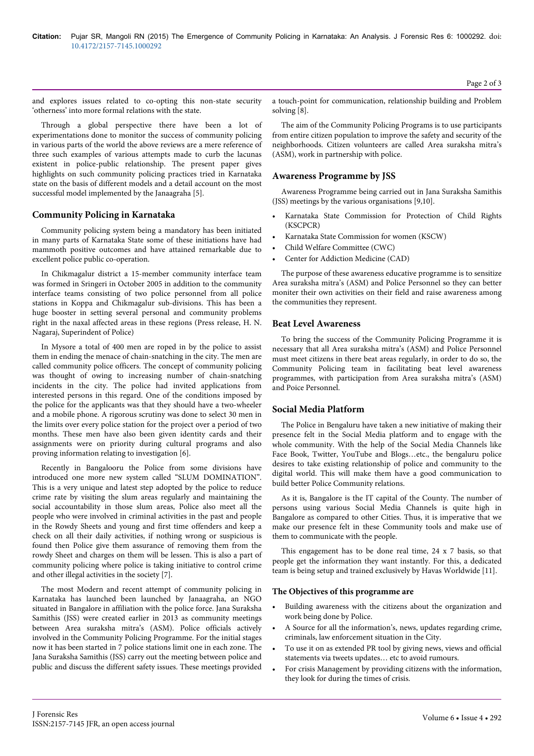and explores issues related to co-opting this non-state security 'otherness' into more formal relations with the state.

Through a global perspective there have been a lot of experimentations done to monitor the success of community policing in various parts of the world the above reviews are a mere reference of three such examples of various attempts made to curb the lacunas existent in police-public relationship. The present paper gives highlights on such community policing practices tried in Karnataka state on the basis of different models and a detail account on the most successful model implemented by the Janaagraha [5].

## **Community Policing in Karnataka**

Community policing system being a mandatory has been initiated in many parts of Karnataka State some of these initiations have had mammoth positive outcomes and have attained remarkable due to excellent police public co-operation.

In Chikmagalur district a 15-member community interface team was formed in Sringeri in October 2005 in addition to the community interface teams consisting of two police personnel from all police stations in Koppa and Chikmagalur sub-divisions. This has been a huge booster in setting several personal and community problems right in the naxal affected areas in these regions (Press release, H. N. Nagaraj, Superindent of Police)

In Mysore a total of 400 men are roped in by the police to assist them in ending the menace of chain-snatching in the city. The men are called community police officers. The concept of community policing was thought of owing to increasing number of chain-snatching incidents in the city. The police had invited applications from interested persons in this regard. One of the conditions imposed by the police for the applicants was that they should have a two-wheeler and a mobile phone. A rigorous scrutiny was done to select 30 men in the limits over every police station for the project over a period of two months. These men have also been given identity cards and their assignments were on priority during cultural programs and also proving information relating to investigation [6].

Recently in Bangalooru the Police from some divisions have introduced one more new system called "SLUM DOMINATION". This is a very unique and latest step adopted by the police to reduce crime rate by visiting the slum areas regularly and maintaining the social accountability in those slum areas, Police also meet all the people who were involved in criminal activities in the past and people in the Rowdy Sheets and young and first time offenders and keep a check on all their daily activities, if nothing wrong or suspicious is found then Police give them assurance of removing them from the rowdy Sheet and charges on them will be lessen. This is also a part of community policing where police is taking initiative to control crime and other illegal activities in the society [7].

The most Modern and recent attempt of community policing in Karnataka has launched been launched by Janaagraha, an NGO situated in Bangalore in affiliation with the police force. Jana Suraksha Samithis (JSS) were created earlier in 2013 as community meetings between Area suraksha mitra's (ASM). Police officials actively involved in the Community Policing Programme. For the initial stages now it has been started in 7 police stations limit one in each zone. The Jana Suraksha Samithis (JSS) carry out the meeting between police and public and discuss the different safety issues. These meetings provided

a touch-point for communication, relationship building and Problem solving [8].

The aim of the Community Policing Programs is to use participants from entire citizen population to improve the safety and security of the neighborhoods. Citizen volunteers are called Area suraksha mitra's (ASM), work in partnership with police.

## **Awareness Programme by JSS**

Awareness Programme being carried out in Jana Suraksha Samithis (JSS) meetings by the various organisations [9,10].

- Karnataka State Commission for Protection of Child Rights (KSCPCR)
- Karnataka State Commission for women (KSCW)
- Child Welfare Committee (CWC)
- Center for Addiction Medicine (CAD)

The purpose of these awareness educative programme is to sensitize Area suraksha mitra's (ASM) and Police Personnel so they can better moniter their own activities on their field and raise awareness among the communities they represent.

## **Beat Level Awareness**

To bring the success of the Community Policing Programme it is necessary that all Area suraksha mitra's (ASM) and Police Personnel must meet citizens in there beat areas regularly, in order to do so, the Community Policing team in facilitating beat level awareness programmes, with participation from Area suraksha mitra's (ASM) and Poice Personnel.

## **Social Media Platform**

The Police in Bengaluru have taken a new initiative of making their presence felt in the Social Media platform and to engage with the whole community. With the help of the Social Media Channels like Face Book, Twitter, YouTube and Blogs…etc., the bengaluru police desires to take existing relationship of police and community to the digital world. This will make them have a good communication to build better Police Community relations.

As it is, Bangalore is the IT capital of the County. The number of persons using various Social Media Channels is quite high in Bangalore as compared to other Cities. Thus, it is imperative that we make our presence felt in these Community tools and make use of them to communicate with the people.

This engagement has to be done real time, 24 x 7 basis, so that people get the information they want instantly. For this, a dedicated team is being setup and trained exclusively by Havas Worldwide [11].

#### **The Objectives of this programme are**

- Building awareness with the citizens about the organization and work being done by Police.
- A Source for all the information's, news, updates regarding crime, criminals, law enforcement situation in the City.
- To use it on as extended PR tool by giving news, views and official statements via tweets updates… etc to avoid rumours.
- For crisis Management by providing citizens with the information, they look for during the times of crisis.

J Forensic Res